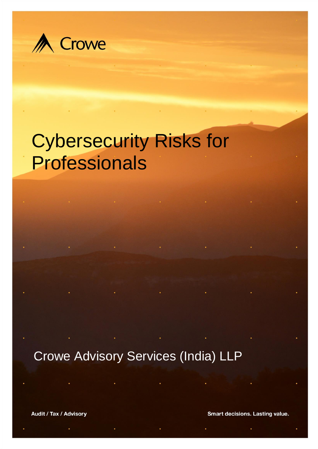

# Cybersecurity Risks for Professionals

Crowe Advisory Services (India) LLP

Audit / Tax / Advisory

Smart decisions. Lasting value.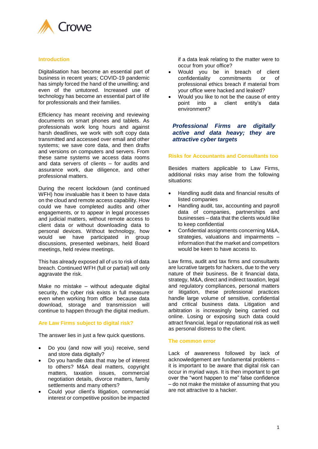

## **Introduction**

Digitalisation has become an essential part of business in recent years; COVID-19 pandemic has simply forced the hand of the unwilling; and even of the untutored. Increased use of technology has become an essential part of life for professionals and their families.

Efficiency has meant receiving and reviewing documents on smart phones and tablets. As professionals work long hours and against harsh deadlines, we work with soft copy data transmitted and accessed over email and other systems; we save core data, and then drafts and versions on computers and servers. From these same systems we access data rooms and data servers of clients – for audits and assurance work, due diligence, and other professional matters.

During the recent lockdown (and continued WFH) how invaluable has it been to have data on the cloud and remote access capability. How could we have completed audits and other engagements, or to appear in legal processes and judicial matters, without remote access to client data or without downloading data to personal devices. Without technology, how would we have participated in group discussions, presented webinars, held Board meetings, held review meetings.

This has already exposed all of us to risk of data breach. Continued WFH (full or partial) will only aggravate the risk.

Make no mistake – without adequate digital security, the cyber risk exists in full measure even when working from office because data download, storage and transmission will continue to happen through the digital medium.

## **Are Law Firms subject to digital risk?**

The answer lies in just a few quick questions.

- Do you (and now will you) receive, send and store data digitally?
- Do you handle data that may be of interest to others? M&A deal matters, copyright matters, taxation issues, commercial negotiation details, divorce matters, family settlements and many others?
- Could your client's litigation, commercial interest or competitive position be impacted

if a data leak relating to the matter were to occur from your office?

- Would you be in breach of client<br>confidentiality commitments or of confidentiality commitments or of professional ethics breach if material from your office were hacked and leaked?
- Would you like to not be the cause of entry point into a client entity's data environment?

# *Professional Firms are digitally active and data heavy; they are attractive cyber targets*

#### **Risks for Accountants and Consultants too**

Besides matters applicable to Law Firms, additional risks may arise from the following situations:

- Handling audit data and financial results of listed companies
- Handling audit, tax, accounting and payroll data of companies, partnerships and businesses – data that the clients would like to keep confidential
- Confidential assignments concerning M&A, strategies, valuations and impairments – information that the market and competitors would be keen to have access to.

Law firms, audit and tax firms and consultants are lucrative targets for hackers, due to the very nature of their business. Be it financial data, strategy, M&A, direct and indirect taxation, legal and regulatory compliances, personal matters or litigation, these professional practices handle large volume of sensitive, confidential and critical business data. Litigation and arbitration is increasingly being carried out online. Losing or exposing such data could attract financial, legal or reputational risk as well as personal distress to the client.

#### **The common error**

Lack of awareness followed by lack of acknowledgement are fundamental problems it is important to be aware that digital risk can occur in myriad ways. It is then important to get over the "wont happen to me" false confidence – do not make the mistake of assuming that you are not attractive to a hacker.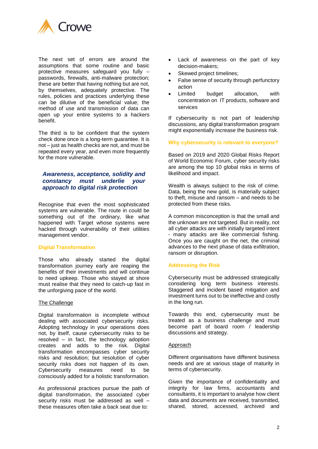

The next set of errors are around the assumptions that some routine and basic protective measures safeguard you fully – passwords, firewalls, anti-malware protection; these are better that having nothing but are not, by themselves, adequately protective. The rules, policies and practices underlying these can be dilutive of the beneficial value; the method of use and transmission of data can open up your entire systems to a hackers benefit.

The third is to be confident that the system check done once is a long-term guarantee. It is not – just as health checks are not, and must be repeated every year, and even more frequently for the more vulnerable.

# *Awareness, acceptance, solidity and constancy must underlie your approach to digital risk protection*

Recognise that even the most sophisticated systems are vulnerable. The route in could be something out of the ordinary, like what happened with Target whose systems were hacked through vulnerability of their utilities management vendor.

#### **Digital Transformation**

Those who already started the digital transformation journey early are reaping the benefits of their investments and will continue to need upkeep. Those who stayed at shore must realise that they need to catch-up fast in the unforgiving pace of the world.

#### The Challenge

Digital transformation is incomplete without dealing with associated cybersecurity risks. Adopting technology in your operations does not, by itself, cause cybersecurity risks to be resolved – in fact, the technology adoption creates and adds to the risk. Digital transformation encompasses cyber security risks and resolution; but resolution of cyber security risks does not happen of its own. Cybersecurity measures need to be consciously added for a holistic transformation.

As professional practices pursue the path of digital transformation, the associated cyber security risks must be addressed as well – these measures often take a back seat due to:

- Lack of awareness on the part of key decision-makers;
- Skewed project timelines;
- False sense of security through perfunctory action
- Limited budget allocation, with concentration on IT products, software and services

If cybersecurity is not part of leadership discussions, any digital transformation program might exponentially increase the business risk.

#### **Why cybersecurity is relevant to everyone?**

Based on 2019 and 2020 Global Risks Report of World Economic Forum, cyber security risks are among the top 10 global risks in terms of likelihood and impact.

Wealth is always subject to the risk of crime. Data, being the new gold, is materially subject to theft, misuse and ransom – and needs to be protected from these risks.

A common misconception is that the small and the unknown are not targeted. But in reality, not all cyber attacks are with initially targeted intent - many attacks are like commercial fishing. Once you are caught on the net, the criminal advances to the next phase of data exfiltration, ransom or disruption.

#### **Addressing the Risk**

Cybersecurity must be addressed strategically considering long term business interests. Staggered and incident based mitigation and investment turns out to be ineffective and costly in the long run.

Towards this end, cybersecurity must be treated as a business challenge and must become part of board room / leadership discussions and strategy.

#### **Approach**

Different organisations have different business needs and are at various stage of maturity in terms of cybersecurity.

Given the importance of confidentiality and integrity for law firms, accountants and consultants, it is important to analyse how client data and documents are received, transmitted, shared, stored, accessed, archived and